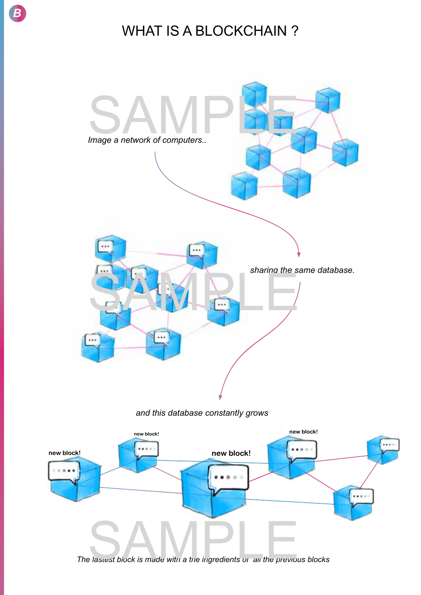

 $\overline{B}$ 

## **WHAT IS A BLOCKCHAIN?**



and this database constantly grows



The lastest block is made with a the ingredients or all the previous blocks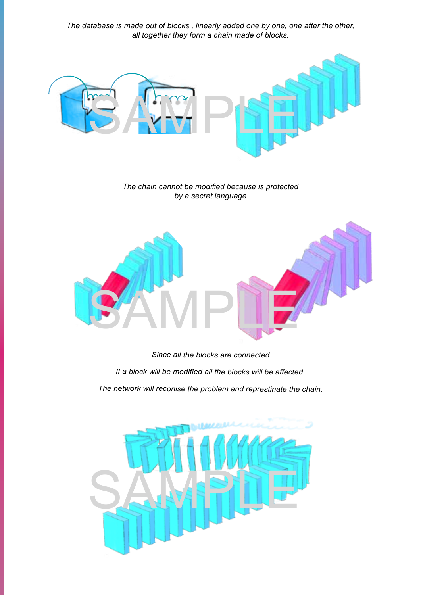*The database is made out of blocks , linearly added one by one, one after the other, all together they form a chain made of blocks.*



*The chain cannot be modified because is protected by a secret language*



*Since all the blocks are connected* 

*If a block will be modified all the blocks will be affected.* 

*The network will reconise the problem and represtinate the chain.*

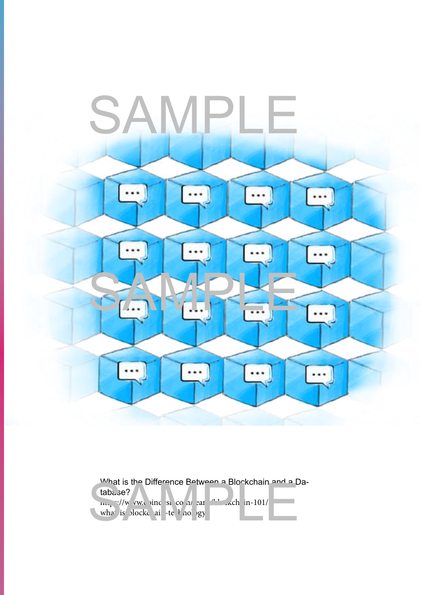

What is the Difference Between a Blockchain and a Database?  $\ln\frac{1}{\sqrt{m}}$  w.com/singlesserversion/learn/blockchain-101/ what is blockchain-technology What is the Difference Between a Blockchain and a D<br>tab..se?<br> $\frac{1}{16}$ <br>what is plockc ai: -te F nol gy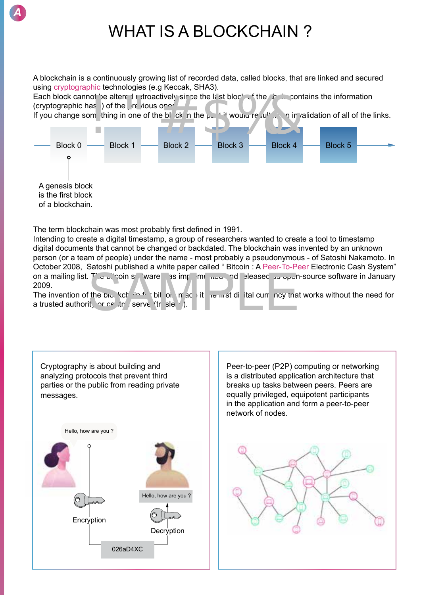

A blockchain is a continuously growing list of recorded data, called blocks, that are linked and secured using cryptographic technologies (e.g Keccak, SHA3).

Each block cannot be altered retroactively since the last block of the chain contains the information (cryptographic has  $\overline{a}$ ) of the previous ones.

If you change something in one of the block in the past it would result in an invalidation of all of the links.



The term blockchain was most probably first defined in 1991.

*A*

Intending to create a digital timestamp, a group of researchers wanted to create a tool to timestamp digital documents that cannot be changed or backdated. The blockchain was invented by an unknown person (or a team of people) under the name - most probably a pseudonymous - of Satoshi Nakamoto. In October 2008, Satoshi published a white paper called " Bitcoin : A Peer-To-Peer Electronic Cash System" on a mailing list. The bitcoin software was implemented and released as open-source software in January 2009.<br>
The invention of the bitch school of the bitch software in January is in the bitch software in January and the 2009.

The invention of the blockchain for bit coin made it the first digital currency that works without the need for a trusted authority or central server (trusless).